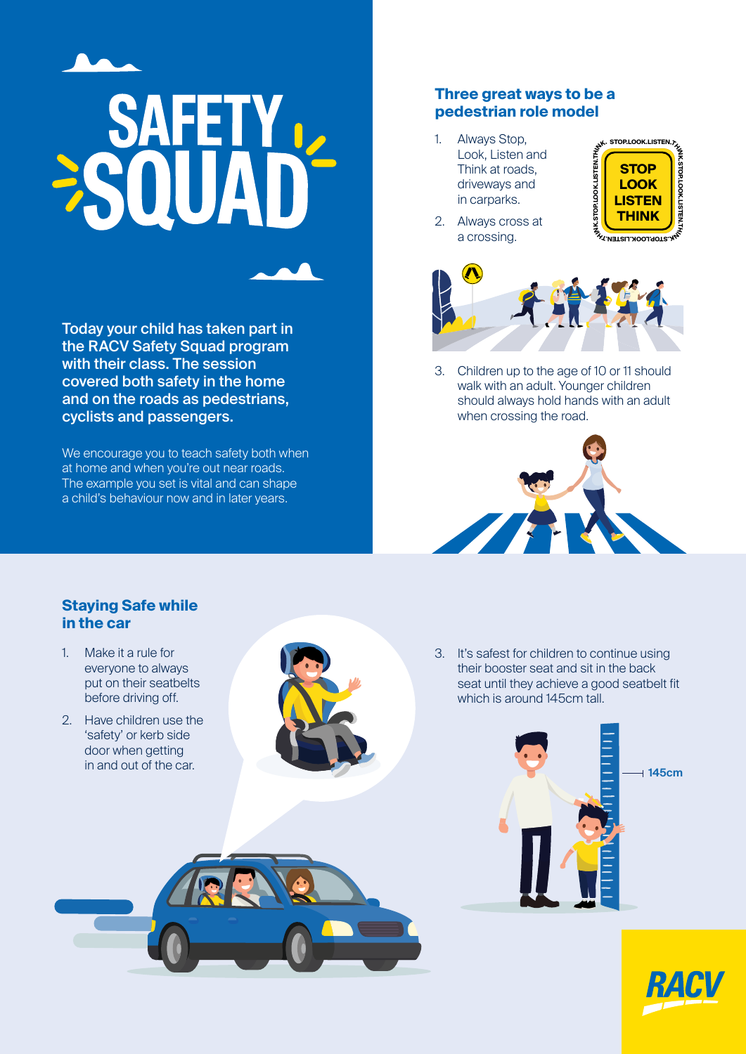

Today your child has taken part in the RACV Safety Squad program with their class. The session covered both safety in the home and on the roads as pedestrians, cyclists and passengers.

We encourage you to teach safety both when at home and when you're out near roads. The example you set is vital and can shape a child's behaviour now and in later years.

## **Three great ways to be a pedestrian role model**

1. Always Stop, Look, Listen and Think at roads, driveways and in carparks.



2. Always cross at a crossing.



3. Children up to the age of 10 or 11 should walk with an adult. Younger children should always hold hands with an adult when crossing the road.



## **Staying Safe while in the car**

- 1. Make it a rule for everyone to always put on their seatbelts before driving off.
- 2. Have children use the 'safety' or kerb side door when getting in and out of the car.



3. It's safest for children to continue using their booster seat and sit in the back seat until they achieve a good seatbelt fit which is around 145cm tall.